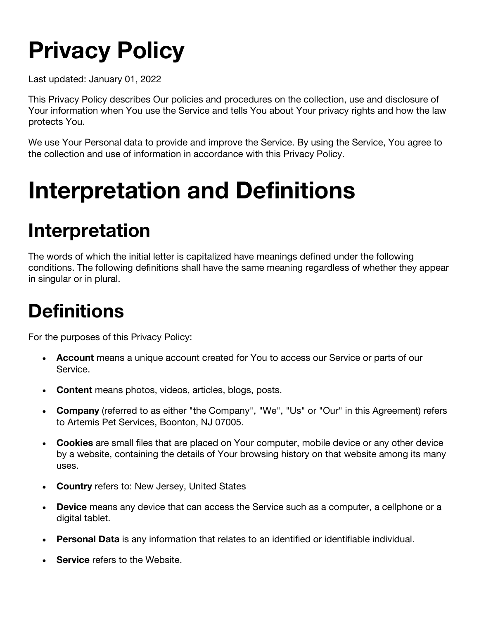# **Privacy Policy**

Last updated: January 01, 2022

This Privacy Policy describes Our policies and procedures on the collection, use and disclosure of Your information when You use the Service and tells You about Your privacy rights and how the law protects You.

We use Your Personal data to provide and improve the Service. By using the Service, You agree to the collection and use of information in accordance with this Privacy Policy.

## **Interpretation and Definitions**

### **Interpretation**

The words of which the initial letter is capitalized have meanings defined under the following conditions. The following definitions shall have the same meaning regardless of whether they appear in singular or in plural.

## **Definitions**

For the purposes of this Privacy Policy:

- **Account** means a unique account created for You to access our Service or parts of our Service.
- **Content** means photos, videos, articles, blogs, posts.
- **Company** (referred to as either "the Company", "We", "Us" or "Our" in this Agreement) refers to Artemis Pet Services, Boonton, NJ 07005.
- **Cookies** are small files that are placed on Your computer, mobile device or any other device by a website, containing the details of Your browsing history on that website among its many uses.
- **Country** refers to: New Jersey, United States
- **Device** means any device that can access the Service such as a computer, a cellphone or a digital tablet.
- **Personal Data** is any information that relates to an identified or identifiable individual.
- **Service** refers to the Website.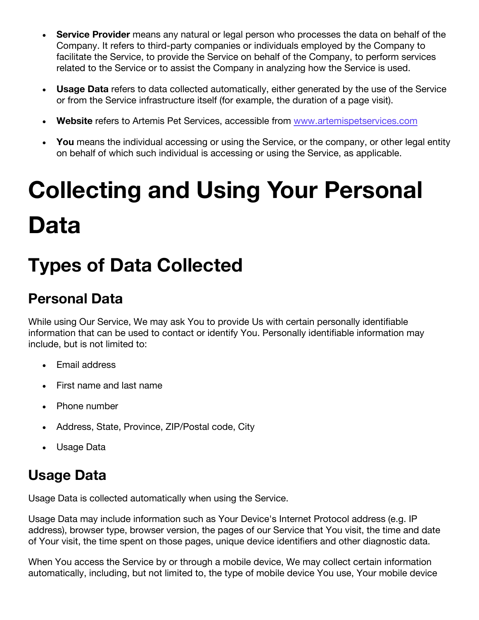- **Service Provider** means any natural or legal person who processes the data on behalf of the Company. It refers to third-party companies or individuals employed by the Company to facilitate the Service, to provide the Service on behalf of the Company, to perform services related to the Service or to assist the Company in analyzing how the Service is used.
- **Usage Data** refers to data collected automatically, either generated by the use of the Service or from the Service infrastructure itself (for example, the duration of a page visit).
- **Website** refers to Artemis Pet Services, accessible from www.artemispetservices.com
- **You** means the individual accessing or using the Service, or the company, or other legal entity on behalf of which such individual is accessing or using the Service, as applicable.

# **Collecting and Using Your Personal Data**

## **Types of Data Collected**

#### **Personal Data**

While using Our Service, We may ask You to provide Us with certain personally identifiable information that can be used to contact or identify You. Personally identifiable information may include, but is not limited to:

- Email address
- First name and last name
- Phone number
- Address, State, Province, ZIP/Postal code, City
- Usage Data

### **Usage Data**

Usage Data is collected automatically when using the Service.

Usage Data may include information such as Your Device's Internet Protocol address (e.g. IP address), browser type, browser version, the pages of our Service that You visit, the time and date of Your visit, the time spent on those pages, unique device identifiers and other diagnostic data.

When You access the Service by or through a mobile device, We may collect certain information automatically, including, but not limited to, the type of mobile device You use, Your mobile device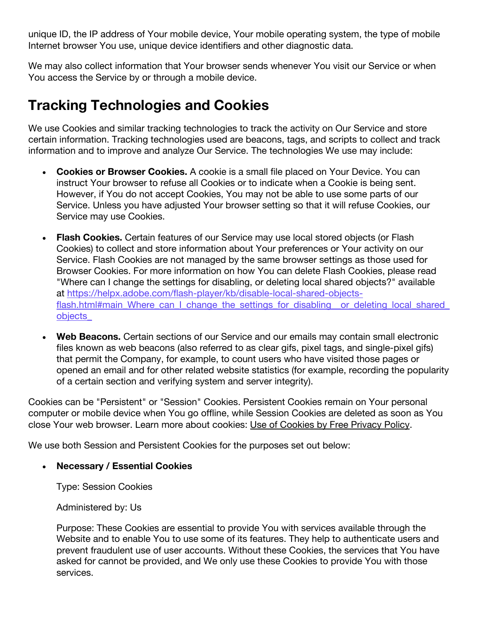unique ID, the IP address of Your mobile device, Your mobile operating system, the type of mobile Internet browser You use, unique device identifiers and other diagnostic data.

We may also collect information that Your browser sends whenever You visit our Service or when You access the Service by or through a mobile device.

#### **Tracking Technologies and Cookies**

We use Cookies and similar tracking technologies to track the activity on Our Service and store certain information. Tracking technologies used are beacons, tags, and scripts to collect and track information and to improve and analyze Our Service. The technologies We use may include:

- **Cookies or Browser Cookies.** A cookie is a small file placed on Your Device. You can instruct Your browser to refuse all Cookies or to indicate when a Cookie is being sent. However, if You do not accept Cookies, You may not be able to use some parts of our Service. Unless you have adjusted Your browser setting so that it will refuse Cookies, our Service may use Cookies.
- **Flash Cookies.** Certain features of our Service may use local stored objects (or Flash Cookies) to collect and store information about Your preferences or Your activity on our Service. Flash Cookies are not managed by the same browser settings as those used for Browser Cookies. For more information on how You can delete Flash Cookies, please read "Where can I change the settings for disabling, or deleting local shared objects?" available at https://helpx.adobe.com/flash-player/kb/disable-local-shared-objectsflash.html#main\_Where\_can\_I\_change\_the\_settings\_for\_disabling\_or\_deleting\_local\_shared objects\_
- **Web Beacons.** Certain sections of our Service and our emails may contain small electronic files known as web beacons (also referred to as clear gifs, pixel tags, and single-pixel gifs) that permit the Company, for example, to count users who have visited those pages or opened an email and for other related website statistics (for example, recording the popularity of a certain section and verifying system and server integrity).

Cookies can be "Persistent" or "Session" Cookies. Persistent Cookies remain on Your personal computer or mobile device when You go offline, while Session Cookies are deleted as soon as You close Your web browser. Learn more about cookies: Use of Cookies by Free Privacy Policy.

We use both Session and Persistent Cookies for the purposes set out below:

#### • **Necessary / Essential Cookies**

Type: Session Cookies

Administered by: Us

Purpose: These Cookies are essential to provide You with services available through the Website and to enable You to use some of its features. They help to authenticate users and prevent fraudulent use of user accounts. Without these Cookies, the services that You have asked for cannot be provided, and We only use these Cookies to provide You with those services.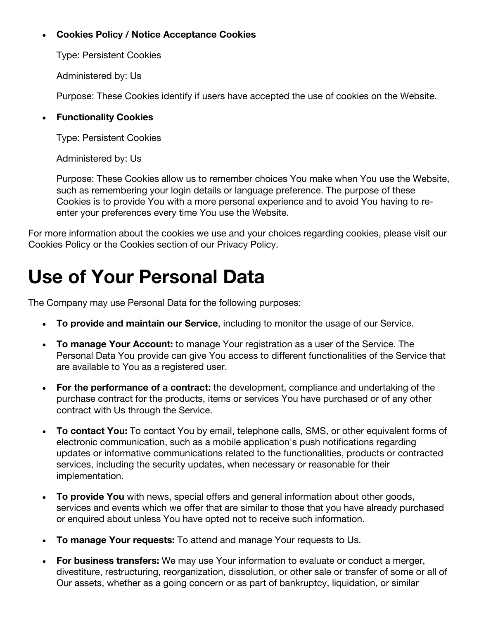#### • **Cookies Policy / Notice Acceptance Cookies**

Type: Persistent Cookies

Administered by: Us

Purpose: These Cookies identify if users have accepted the use of cookies on the Website.

#### • **Functionality Cookies**

Type: Persistent Cookies

Administered by: Us

Purpose: These Cookies allow us to remember choices You make when You use the Website, such as remembering your login details or language preference. The purpose of these Cookies is to provide You with a more personal experience and to avoid You having to reenter your preferences every time You use the Website.

For more information about the cookies we use and your choices regarding cookies, please visit our Cookies Policy or the Cookies section of our Privacy Policy.

### **Use of Your Personal Data**

The Company may use Personal Data for the following purposes:

- **To provide and maintain our Service**, including to monitor the usage of our Service.
- **To manage Your Account:** to manage Your registration as a user of the Service. The Personal Data You provide can give You access to different functionalities of the Service that are available to You as a registered user.
- **For the performance of a contract:** the development, compliance and undertaking of the purchase contract for the products, items or services You have purchased or of any other contract with Us through the Service.
- **To contact You:** To contact You by email, telephone calls, SMS, or other equivalent forms of electronic communication, such as a mobile application's push notifications regarding updates or informative communications related to the functionalities, products or contracted services, including the security updates, when necessary or reasonable for their implementation.
- **To provide You** with news, special offers and general information about other goods, services and events which we offer that are similar to those that you have already purchased or enquired about unless You have opted not to receive such information.
- **To manage Your requests:** To attend and manage Your requests to Us.
- **For business transfers:** We may use Your information to evaluate or conduct a merger, divestiture, restructuring, reorganization, dissolution, or other sale or transfer of some or all of Our assets, whether as a going concern or as part of bankruptcy, liquidation, or similar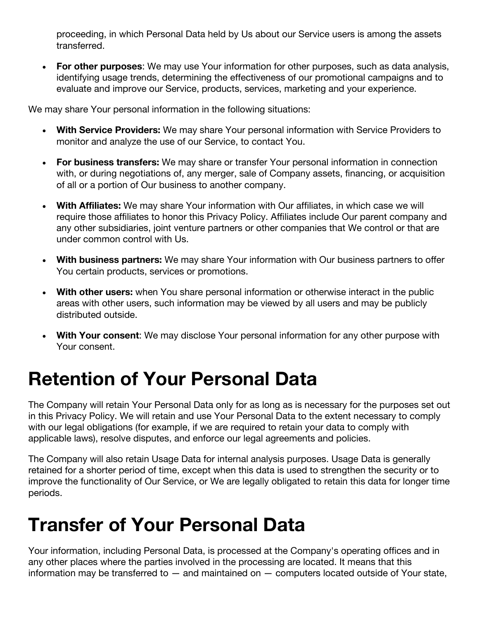proceeding, in which Personal Data held by Us about our Service users is among the assets transferred.

• **For other purposes**: We may use Your information for other purposes, such as data analysis, identifying usage trends, determining the effectiveness of our promotional campaigns and to evaluate and improve our Service, products, services, marketing and your experience.

We may share Your personal information in the following situations:

- **With Service Providers:** We may share Your personal information with Service Providers to monitor and analyze the use of our Service, to contact You.
- **For business transfers:** We may share or transfer Your personal information in connection with, or during negotiations of, any merger, sale of Company assets, financing, or acquisition of all or a portion of Our business to another company.
- **With Affiliates:** We may share Your information with Our affiliates, in which case we will require those affiliates to honor this Privacy Policy. Affiliates include Our parent company and any other subsidiaries, joint venture partners or other companies that We control or that are under common control with Us.
- **With business partners:** We may share Your information with Our business partners to offer You certain products, services or promotions.
- **With other users:** when You share personal information or otherwise interact in the public areas with other users, such information may be viewed by all users and may be publicly distributed outside.
- **With Your consent**: We may disclose Your personal information for any other purpose with Your consent.

### **Retention of Your Personal Data**

The Company will retain Your Personal Data only for as long as is necessary for the purposes set out in this Privacy Policy. We will retain and use Your Personal Data to the extent necessary to comply with our legal obligations (for example, if we are required to retain your data to comply with applicable laws), resolve disputes, and enforce our legal agreements and policies.

The Company will also retain Usage Data for internal analysis purposes. Usage Data is generally retained for a shorter period of time, except when this data is used to strengthen the security or to improve the functionality of Our Service, or We are legally obligated to retain this data for longer time periods.

### **Transfer of Your Personal Data**

Your information, including Personal Data, is processed at the Company's operating offices and in any other places where the parties involved in the processing are located. It means that this information may be transferred to  $-$  and maintained on  $-$  computers located outside of Your state,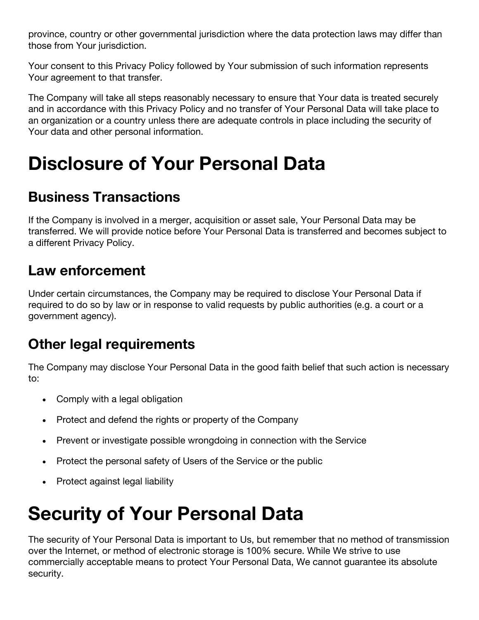province, country or other governmental jurisdiction where the data protection laws may differ than those from Your jurisdiction.

Your consent to this Privacy Policy followed by Your submission of such information represents Your agreement to that transfer.

The Company will take all steps reasonably necessary to ensure that Your data is treated securely and in accordance with this Privacy Policy and no transfer of Your Personal Data will take place to an organization or a country unless there are adequate controls in place including the security of Your data and other personal information.

### **Disclosure of Your Personal Data**

#### **Business Transactions**

If the Company is involved in a merger, acquisition or asset sale, Your Personal Data may be transferred. We will provide notice before Your Personal Data is transferred and becomes subject to a different Privacy Policy.

#### **Law enforcement**

Under certain circumstances, the Company may be required to disclose Your Personal Data if required to do so by law or in response to valid requests by public authorities (e.g. a court or a government agency).

#### **Other legal requirements**

The Company may disclose Your Personal Data in the good faith belief that such action is necessary to:

- Comply with a legal obligation
- Protect and defend the rights or property of the Company
- Prevent or investigate possible wrongdoing in connection with the Service
- Protect the personal safety of Users of the Service or the public
- Protect against legal liability

## **Security of Your Personal Data**

The security of Your Personal Data is important to Us, but remember that no method of transmission over the Internet, or method of electronic storage is 100% secure. While We strive to use commercially acceptable means to protect Your Personal Data, We cannot guarantee its absolute security.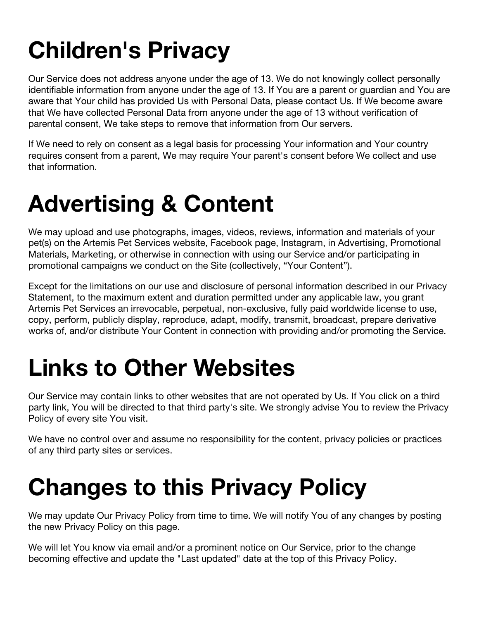# **Children's Privacy**

Our Service does not address anyone under the age of 13. We do not knowingly collect personally identifiable information from anyone under the age of 13. If You are a parent or guardian and You are aware that Your child has provided Us with Personal Data, please contact Us. If We become aware that We have collected Personal Data from anyone under the age of 13 without verification of parental consent, We take steps to remove that information from Our servers.

If We need to rely on consent as a legal basis for processing Your information and Your country requires consent from a parent, We may require Your parent's consent before We collect and use that information.

## **Advertising & Content**

We may upload and use photographs, images, videos, reviews, information and materials of your pet(s) on the Artemis Pet Services website, Facebook page, Instagram, in Advertising, Promotional Materials, Marketing, or otherwise in connection with using our Service and/or participating in promotional campaigns we conduct on the Site (collectively, "Your Content").

Except for the limitations on our use and disclosure of personal information described in our Privacy Statement, to the maximum extent and duration permitted under any applicable law, you grant Artemis Pet Services an irrevocable, perpetual, non-exclusive, fully paid worldwide license to use, copy, perform, publicly display, reproduce, adapt, modify, transmit, broadcast, prepare derivative works of, and/or distribute Your Content in connection with providing and/or promoting the Service.

## **Links to Other Websites**

Our Service may contain links to other websites that are not operated by Us. If You click on a third party link, You will be directed to that third party's site. We strongly advise You to review the Privacy Policy of every site You visit.

We have no control over and assume no responsibility for the content, privacy policies or practices of any third party sites or services.

## **Changes to this Privacy Policy**

We may update Our Privacy Policy from time to time. We will notify You of any changes by posting the new Privacy Policy on this page.

We will let You know via email and/or a prominent notice on Our Service, prior to the change becoming effective and update the "Last updated" date at the top of this Privacy Policy.